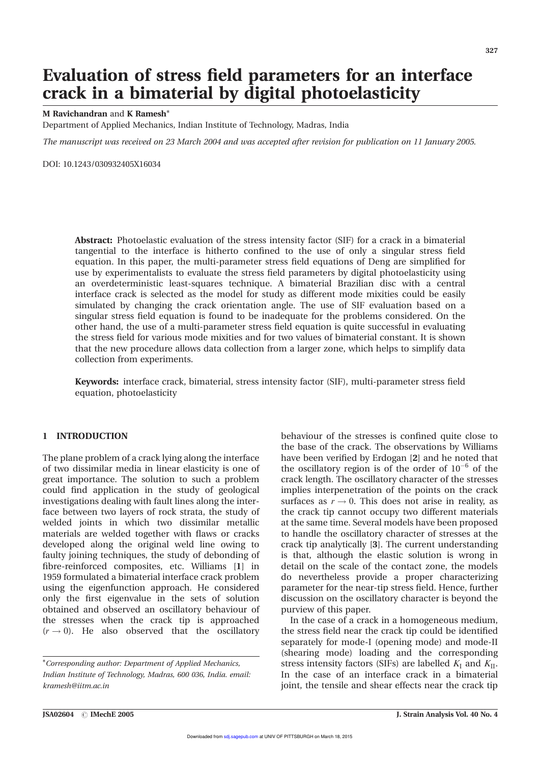# Evaluation of stress field parameters for an interface crack in a bimaterial by digital photoelasticity

# M Ravichandran and K Ramesh\*

Department of Applied Mechanics, Indian Institute of Technology, Madras, India

The manuscript was received on 23 March 2004 and was accepted after revision for publication on 11 January 2005.

DOI: 10.1243/030932405X16034

Abstract: Photoelastic evaluation of the stress intensity factor (SIF) for a crack in a bimaterial tangential to the interface is hitherto confined to the use of only a singular stress field equation. In this paper, the multi-parameter stress field equations of Deng are simplified for use by experimentalists to evaluate the stress field parameters by digital photoelasticity using an overdeterministic least-squares technique. A bimaterial Brazilian disc with a central interface crack is selected as the model for study as different mode mixities could be easily simulated by changing the crack orientation angle. The use of SIF evaluation based on a singular stress field equation is found to be inadequate for the problems considered. On the other hand, the use of a multi-parameter stress field equation is quite successful in evaluating the stress field for various mode mixities and for two values of bimaterial constant. It is shown that the new procedure allows data collection from a larger zone, which helps to simplify data collection from experiments.

Keywords: interface crack, bimaterial, stress intensity factor (SIF), multi-parameter stress field equation, photoelasticity

# 1 INTRODUCTION

The plane problem of a crack lying along the interface of two dissimilar media in linear elasticity is one of great importance. The solution to such a problem could find application in the study of geological investigations dealing with fault lines along the interface between two layers of rock strata, the study of welded joints in which two dissimilar metallic materials are welded together with flaws or cracks developed along the original weld line owing to faulty joining techniques, the study of debonding of fibre-reinforced composites, etc. Williams [1] in 1959 formulated a bimaterial interface crack problem using the eigenfunction approach. He considered only the first eigenvalue in the sets of solution obtained and observed an oscillatory behaviour of the stresses when the crack tip is approached  $(r \rightarrow 0)$ . He also observed that the oscillatory behaviour of the stresses is confined quite close to the base of the crack. The observations by Williams have been verified by Erdogan [2] and he noted that the oscillatory region is of the order of  $10^{-6}$  of the crack length. The oscillatory character of the stresses implies interpenetration of the points on the crack surfaces as  $r \to 0$ . This does not arise in reality, as the crack tip cannot occupy two different materials at the same time. Several models have been proposed to handle the oscillatory character of stresses at the crack tip analytically [3]. The current understanding is that, although the elastic solution is wrong in detail on the scale of the contact zone, the models do nevertheless provide a proper characterizing parameter for the near-tip stress field. Hence, further discussion on the oscillatory character is beyond the purview of this paper.

In the case of a crack in a homogeneous medium, the stress field near the crack tip could be identified separately for mode-I (opening mode) and mode-II (shearing mode) loading and the corresponding stress intensity factors (SIFs) are labelled  $K_I$  and  $K_{II}$ . In the case of an interface crack in a bimaterial joint, the tensile and shear effects near the crack tip

<sup>\*</sup>Corresponding author: Department of Applied Mechanics, Indian Institute of Technology, Madras, 600 036, India. email: kramesh@iitm.ac.in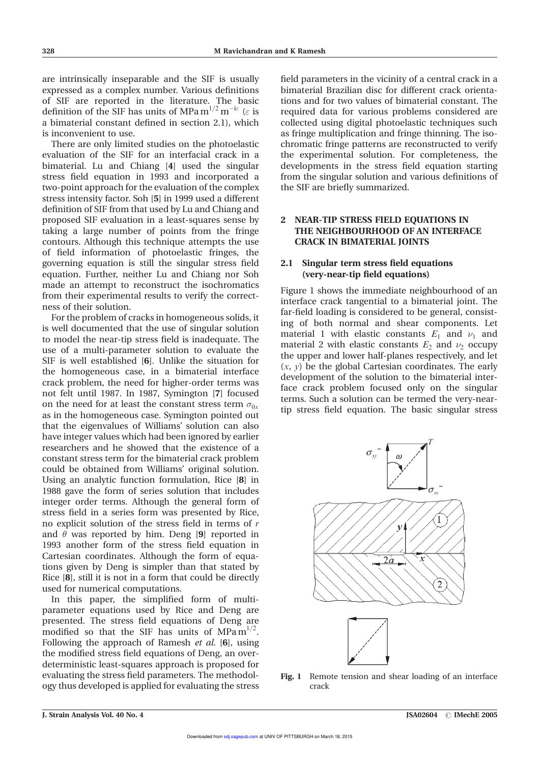are intrinsically inseparable and the SIF is usually expressed as a complex number. Various definitions of SIF are reported in the literature. The basic definition of the SIF has units of MPa m<sup>1/2</sup> m<sup>-i $\varepsilon$ </sup> ( $\varepsilon$  is a bimaterial constant defined in section 2.1), which is inconvenient to use.

There are only limited studies on the photoelastic evaluation of the SIF for an interfacial crack in a bimaterial. Lu and Chiang [4] used the singular stress field equation in 1993 and incorporated a two-point approach for the evaluation of the complex stress intensity factor. Soh [5] in 1999 used a different definition of SIF from that used by Lu and Chiang and proposed SIF evaluation in a least-squares sense by taking a large number of points from the fringe contours. Although this technique attempts the use of field information of photoelastic fringes, the governing equation is still the singular stress field equation. Further, neither Lu and Chiang nor Soh made an attempt to reconstruct the isochromatics from their experimental results to verify the correctness of their solution.

For the problem of cracks in homogeneous solids, it is well documented that the use of singular solution to model the near-tip stress field is inadequate. The use of a multi-parameter solution to evaluate the SIF is well established [6]. Unlike the situation for the homogeneous case, in a bimaterial interface crack problem, the need for higher-order terms was not felt until 1987. In 1987, Symington [7] focused on the need for at least the constant stress term  $\sigma_{0x}$ as in the homogeneous case. Symington pointed out that the eigenvalues of Williams' solution can also have integer values which had been ignored by earlier researchers and he showed that the existence of a constant stress term for the bimaterial crack problem could be obtained from Williams' original solution. Using an analytic function formulation, Rice [8] in 1988 gave the form of series solution that includes integer order terms. Although the general form of stress field in a series form was presented by Rice, no explicit solution of the stress field in terms of r and  $\theta$  was reported by him. Deng [9] reported in 1993 another form of the stress field equation in Cartesian coordinates. Although the form of equations given by Deng is simpler than that stated by Rice [8], still it is not in a form that could be directly used for numerical computations.

In this paper, the simplified form of multiparameter equations used by Rice and Deng are presented. The stress field equations of Deng are modified so that the SIF has units of MPa $m^{1/2}$ . Following the approach of Ramesh et al. [6], using the modified stress field equations of Deng, an overdeterministic least-squares approach is proposed for evaluating the stress field parameters. The methodology thus developed is applied for evaluating the stress

field parameters in the vicinity of a central crack in a bimaterial Brazilian disc for different crack orientations and for two values of bimaterial constant. The required data for various problems considered are collected using digital photoelastic techniques such as fringe multiplication and fringe thinning. The isochromatic fringe patterns are reconstructed to verify the experimental solution. For completeness, the developments in the stress field equation starting from the singular solution and various definitions of the SIF are briefly summarized.

# 2 NEAR-TIP STRESS FIELD EQUATIONS IN THE NEIGHBOURHOOD OF AN INTERFACE CRACK IN BIMATERIAL JOINTS

# 2.1 Singular term stress field equations (very-near-tip field equations)

Figure 1 shows the immediate neighbourhood of an interface crack tangential to a bimaterial joint. The far-field loading is considered to be general, consisting of both normal and shear components. Let material 1 with elastic constants  $E_1$  and  $\nu_1$  and material 2 with elastic constants  $E_2$  and  $\nu_2$  occupy the upper and lower half-planes respectively, and let  $(x, y)$  be the global Cartesian coordinates. The early development of the solution to the bimaterial interface crack problem focused only on the singular terms. Such a solution can be termed the very-neartip stress field equation. The basic singular stress



Fig. 1 Remote tension and shear loading of an interface crack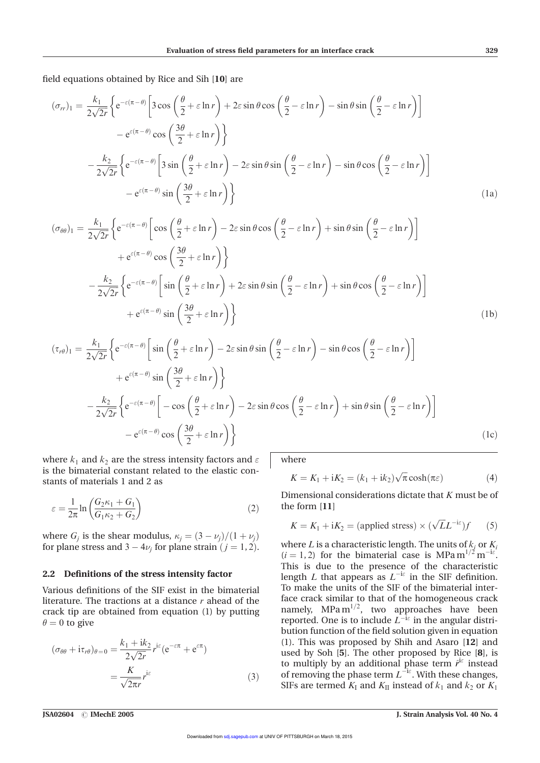field equations obtained by Rice and Sih [10] are

$$
(\sigma_{rr})_1 = \frac{k_1}{2\sqrt{2r}} \left\{ e^{-\varepsilon(\pi-\theta)} \left[ 3\cos\left(\frac{\theta}{2} + \varepsilon \ln r\right) + 2\varepsilon \sin\theta \cos\left(\frac{\theta}{2} - \varepsilon \ln r\right) - \sin\theta \sin\left(\frac{\theta}{2} - \varepsilon \ln r\right) \right] - e^{\varepsilon(\pi-\theta)} \cos\left(\frac{3\theta}{2} + \varepsilon \ln r\right) \right\}
$$

$$
-\frac{k_2}{2\sqrt{2r}} \left\{ e^{-\varepsilon(\pi-\theta)} \left[ 3\sin\left(\frac{\theta}{2} + \varepsilon \ln r\right) - 2\varepsilon \sin\theta \sin\left(\frac{\theta}{2} - \varepsilon \ln r\right) - \sin\theta \cos\left(\frac{\theta}{2} - \varepsilon \ln r\right) \right] - e^{\varepsilon(\pi-\theta)} \sin\left(\frac{3\theta}{2} + \varepsilon \ln r\right) \right\}
$$
(1a)

$$
(\sigma_{\theta\theta})_1 = \frac{k_1}{2\sqrt{2r}} \left\{ e^{-\varepsilon(\pi-\theta)} \left[ \cos\left(\frac{\theta}{2} + \varepsilon \ln r\right) - 2\varepsilon \sin \theta \cos\left(\frac{\theta}{2} - \varepsilon \ln r\right) + \sin \theta \sin\left(\frac{\theta}{2} - \varepsilon \ln r\right) \right\} + e^{\varepsilon(\pi-\theta)} \cos\left(\frac{3\theta}{2} + \varepsilon \ln r\right) \right\} - \frac{k_2}{2\sqrt{2r}} \left\{ e^{-\varepsilon(\pi-\theta)} \left[ \sin\left(\frac{\theta}{2} + \varepsilon \ln r\right) + 2\varepsilon \sin \theta \sin\left(\frac{\theta}{2} - \varepsilon \ln r\right) + \sin \theta \cos\left(\frac{\theta}{2} - \varepsilon \ln r\right) \right] + e^{\varepsilon(\pi-\theta)} \sin\left(\frac{3\theta}{2} + \varepsilon \ln r\right) \right\}
$$
(1b)

$$
(\tau_{r\theta})_1 = \frac{k_1}{2\sqrt{2r}} \left\{ e^{-\varepsilon(\pi-\theta)} \left[ \sin\left(\frac{\theta}{2} + \varepsilon \ln r\right) - 2\varepsilon \sin \theta \sin\left(\frac{\theta}{2} - \varepsilon \ln r\right) - \sin \theta \cos\left(\frac{\theta}{2} - \varepsilon \ln r\right) \right\} + e^{\varepsilon(\pi-\theta)} \sin\left(\frac{3\theta}{2} + \varepsilon \ln r\right) \right\} - \frac{k_2}{2\sqrt{2r}} \left\{ e^{-\varepsilon(\pi-\theta)} \left[ -\cos\left(\frac{\theta}{2} + \varepsilon \ln r\right) - 2\varepsilon \sin \theta \cos\left(\frac{\theta}{2} - \varepsilon \ln r\right) + \sin \theta \sin\left(\frac{\theta}{2} - \varepsilon \ln r\right) \right] - e^{\varepsilon(\pi-\theta)} \cos\left(\frac{3\theta}{2} + \varepsilon \ln r\right) \right\}
$$
(1c)

where  $k_1$  and  $k_2$  are the stress intensity factors and  $\varepsilon$ is the bimaterial constant related to the elastic constants of materials 1 and 2 as

$$
\varepsilon = \frac{1}{2\pi} \ln \left( \frac{G_2 \kappa_1 + G_1}{G_1 \kappa_2 + G_2} \right) \tag{2}
$$

where  $G_j$  is the shear modulus,  $\kappa_j = \frac{3 - \nu_j}{(1 + \nu_j)}$ for plane stress and  $3 - 4\nu_j$  for plane strain  $(j = 1, 2)$ .

#### 2.2 Definitions of the stress intensity factor

Various definitions of the SIF exist in the bimaterial literature. The tractions at a distance  $r$  ahead of the crack tip are obtained from equation (1) by putting  $\theta = 0$  to give

$$
(\sigma_{\theta\theta} + i\tau_{r\theta})_{\theta=0} = \frac{k_1 + ik_2}{2\sqrt{2r}} r^{i\varepsilon} (e^{-\varepsilon\pi} + e^{\varepsilon\pi})
$$

$$
= \frac{K}{\sqrt{2\pi r}} r^{i\varepsilon}
$$
(3)

where

$$
K = K_1 + iK_2 = (k_1 + ik_2)\sqrt{\pi}\cosh(\pi\varepsilon)
$$
 (4)

Dimensional considerations dictate that K must be of the form [11]

$$
K = K_1 + iK_2 = \text{(applied stress)} \times (\sqrt{L}L^{-i\varepsilon})f \qquad (5)
$$

where L is a characteristic length. The units of  $k_i$  or  $K_i$  $(i = 1, 2)$  for the bimaterial case is MPa m<sup>1/2</sup> m<sup>-is</sup>. This is due to the presence of the characteristic length L that appears as  $L^{-i\varepsilon}$  in the SIF definition. To make the units of the SIF of the bimaterial interface crack similar to that of the homogeneous crack namely, MPa  $m^{1/2}$ , two approaches have been reported. One is to include  $L^{-i\varepsilon}$  in the angular distribution function of the field solution given in equation (1). This was proposed by Shih and Asaro [12] and used by Soh [5]. The other proposed by Rice [8], is to multiply by an additional phase term  $\hat{r}^{\text{lc}}$  instead of removing the phase term  $L^{-i\varepsilon}$ . With these changes, SIFs are termed  $K_I$  and  $K_{II}$  instead of  $k_1$  and  $k_2$  or  $K_I$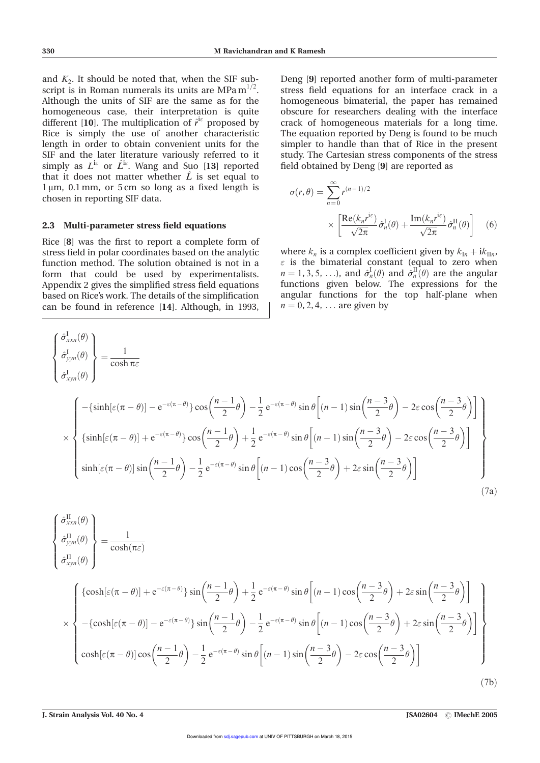and  $K_2$ . It should be noted that, when the SIF subscript is in Roman numerals its units are MPa  $m^{1/2}$ . Although the units of SIF are the same as for the homogeneous case, their interpretation is quite different [10]. The multiplication of  $\hat{r}^{\text{ic}}$  proposed by Rice is simply the use of another characteristic length in order to obtain convenient units for the SIF and the later literature variously referred to it simply as  $L^{\text{if}}$  or  $\hat{L}^{\text{if}}$ . Wang and Suo [13] reported that it does not matter whether  $\hat{L}$  is set equal to  $1 \mu m$ , 0.1 mm, or 5 cm so long as a fixed length is chosen in reporting SIF data.

#### 2.3 Multi-parameter stress field equations

 $\hat{\sigma}_{xxn}^{\mathrm{I}}(\theta)$ 

 $\mathcal{L}$ 

 $\sqrt{ }$ 

Rice [8] was the first to report a complete form of stress field in polar coordinates based on the analytic function method. The solution obtained is not in a form that could be used by experimentalists. Appendix 2 gives the simplified stress field equations based on Rice's work. The details of the simplification can be found in reference [14]. Although, in 1993,

Deng [9] reported another form of multi-parameter stress field equations for an interface crack in a homogeneous bimaterial, the paper has remained obscure for researchers dealing with the interface crack of homogeneous materials for a long time. The equation reported by Deng is found to be much simpler to handle than that of Rice in the present study. The Cartesian stress components of the stress field obtained by Deng [9] are reported as

$$
\sigma(r,\theta) = \sum_{n=0}^{\infty} r^{(n-1)/2}
$$

$$
\times \left[ \frac{\text{Re}(k_n r^{i\epsilon})}{\sqrt{2\pi}} \hat{\sigma}_n^{\text{I}}(\theta) + \frac{\text{Im}(k_n r^{i\epsilon})}{\sqrt{2\pi}} \hat{\sigma}_n^{\text{II}}(\theta) \right] \tag{6}
$$

where  $k_n$  is a complex coefficient given by  $k_{\text{In}} + ik_{\text{II}n}$ ,  $\varepsilon$  is the bimaterial constant (equal to zero when  $n = 1, 3, 5, \ldots$ , and  $\hat{\sigma}_n^{\text{I}}(\theta)$  and  $\hat{\sigma}_n^{\text{II}}(\theta)$  are the angular functions given below. The expressions for the angular functions for the top half-plane when  $n = 0, 2, 4, \ldots$  are given by

$$
\begin{cases}\n\frac{\partial \mathbf{I}_{\mathbf{y}\mathbf{y}\mathbf{n}}(\theta)}{\partial \mathbf{I}_{\mathbf{y}\mathbf{y}\mathbf{n}}(\theta)}\n\end{cases} = \frac{1}{\cosh n\varepsilon}
$$
\n
$$
\times \begin{cases}\n-\{\sinh[\varepsilon(\pi - \theta)] - e^{-\varepsilon(\pi - \theta)}\} \cos\left(\frac{n-1}{2}\theta\right) - \frac{1}{2} e^{-\varepsilon(\pi - \theta)} \sin\theta \left[(n-1)\sin\left(\frac{n-3}{2}\theta\right) - 2\varepsilon \cos\left(\frac{n-3}{2}\theta\right)\right] \\
\{\sinh[\varepsilon(\pi - \theta)] + e^{-\varepsilon(\pi - \theta)}\} \cos\left(\frac{n-1}{2}\theta\right) + \frac{1}{2} e^{-\varepsilon(\pi - \theta)} \sin\theta \left[(n-1)\sin\left(\frac{n-3}{2}\theta\right) - 2\varepsilon \cos\left(\frac{n-3}{2}\theta\right)\right]\n\end{cases}
$$
\n
$$
\sinh[\varepsilon(\pi - \theta)] \sin\left(\frac{n-1}{2}\theta\right) - \frac{1}{2} e^{-\varepsilon(\pi - \theta)} \sin\theta \left[(n-1)\cos\left(\frac{n-3}{2}\theta\right) + 2\varepsilon \sin\left(\frac{n-3}{2}\theta\right)\right]
$$
\n(7a)

$$
\begin{cases}\n\hat{\sigma}_{x,n}^{II}(\theta) \\
\hat{\sigma}_{y,n}^{II}(\theta)\n\end{cases} = \frac{1}{\cosh(\pi\varepsilon)} \\
\times \begin{cases}\n\{\cosh[\varepsilon(\pi-\theta)] + e^{-\varepsilon(\pi-\theta)}\}\sin\left(\frac{n-1}{2}\theta\right) + \frac{1}{2}e^{-\varepsilon(\pi-\theta)}\sin\theta\left[(n-1)\cos\left(\frac{n-3}{2}\theta\right) + 2\varepsilon\sin\left(\frac{n-3}{2}\theta\right)\right] \\
-\{\cosh[\varepsilon(\pi-\theta)] - e^{-\varepsilon(\pi-\theta)}\}\sin\left(\frac{n-1}{2}\theta\right) - \frac{1}{2}e^{-\varepsilon(\pi-\theta)}\sin\theta\left[(n-1)\cos\left(\frac{n-3}{2}\theta\right) + 2\varepsilon\sin\left(\frac{n-3}{2}\theta\right)\right] \\
\cosh[\varepsilon(\pi-\theta)]\cos\left(\frac{n-1}{2}\theta\right) - \frac{1}{2}e^{-\varepsilon(\pi-\theta)}\sin\theta\left[(n-1)\sin\left(\frac{n-3}{2}\theta\right) - 2\varepsilon\cos\left(\frac{n-3}{2}\theta\right)\right]\n\end{cases}
$$

 $(7b)$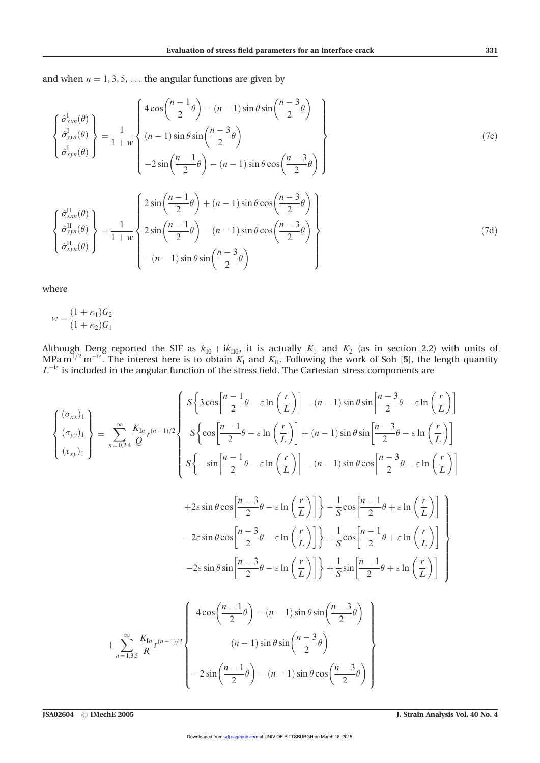and when  $n = 1, 3, 5, \ldots$  the angular functions are given by

$$
\begin{Bmatrix}\n\hat{\sigma}_{xxn}^{I}(\theta) \\
\hat{\sigma}_{yyn}^{I}(\theta)\n\end{Bmatrix} = \frac{1}{1+w} \begin{Bmatrix}\n4\cos\left(\frac{n-1}{2}\theta\right) - (n-1)\sin\theta\sin\left(\frac{n-3}{2}\theta\right) \\
(n-1)\sin\theta\sin\left(\frac{n-3}{2}\theta\right) \\
-2\sin\left(\frac{n-1}{2}\theta\right) - (n-1)\sin\theta\cos\left(\frac{n-3}{2}\theta\right)\n\end{Bmatrix}
$$
\n(7c)\n
$$
\left(2\sin\left(\frac{n-1}{2}\theta\right) + (n-1)\sin\theta\cos\left(\frac{n-3}{2}\theta\right)\right)
$$

$$
\begin{Bmatrix}\n\hat{\sigma}_{xxn}^{\text{II}}(\theta) \\
\hat{\sigma}_{yyn}^{\text{II}}(\theta) \\
\hat{\sigma}_{xyn}^{\text{II}}(\theta)\n\end{Bmatrix} = \frac{1}{1+w} \begin{Bmatrix}\n2\sin\left(\frac{n-1}{2}\theta\right) + (n-1)\sin\theta\cos\left(\frac{n-3}{2}\theta\right) \\
2\sin\left(\frac{n-1}{2}\theta\right) - (n-1)\sin\theta\cos\left(\frac{n-3}{2}\theta\right) \\
-(n-1)\sin\theta\sin\left(\frac{n-3}{2}\theta\right)\n\end{Bmatrix}
$$
\n(7d)

where

$$
w = \frac{(1 + \kappa_1)G_2}{(1 + \kappa_2)G_1}
$$

Although Deng reported the SIF as  $k_{10} + ik_{110}$ , it is actually  $K_1$  and  $K_2$  (as in section 2.2) with units of MPa m<sup>1/2</sup> m<sup>-i $\epsilon$ </sup>. The interest here is to obtain  $K_I$  and  $K_{II}$ . Following the work of Soh [5], the length quantity  $L^{-i\varepsilon}$  is included in the angular function of the stress field. The Cartesian stress components are

$$
\begin{cases}\n(\sigma_{xx})_1 \\
(\sigma_{yy})_1\n\end{cases} = \sum_{n=0,24}^{\infty} \frac{K_{ln}}{Q} r^{(n-1)/2} \begin{cases}\nS \left\{ 3 \cos \left[ \frac{n-1}{2} \theta - \varepsilon \ln \left( \frac{r}{L} \right) \right] - (n-1) \sin \theta \sin \left[ \frac{n-3}{2} \theta - \varepsilon \ln \left( \frac{r}{L} \right) \right] \\
S \left\{ \cos \left[ \frac{n-1}{2} \theta - \varepsilon \ln \left( \frac{r}{L} \right) \right] + (n-1) \sin \theta \sin \left[ \frac{n-3}{2} \theta - \varepsilon \ln \left( \frac{r}{L} \right) \right]\n\end{cases}
$$
\n
$$
+ 2\varepsilon \sin \theta \cos \left[ \frac{n-3}{2} \theta - \varepsilon \ln \left( \frac{r}{L} \right) \right] - (n-1) \sin \theta \cos \left[ \frac{n-3}{2} \theta - \varepsilon \ln \left( \frac{r}{L} \right) \right]
$$
\n
$$
+ 2\varepsilon \sin \theta \cos \left[ \frac{n-3}{2} \theta - \varepsilon \ln \left( \frac{r}{L} \right) \right] - \frac{1}{5} \cos \left[ \frac{n-1}{2} \theta + \varepsilon \ln \left( \frac{r}{L} \right) \right]
$$
\n
$$
- 2\varepsilon \sin \theta \cos \left[ \frac{n-3}{2} \theta - \varepsilon \ln \left( \frac{r}{L} \right) \right] + \frac{1}{5} \cos \left[ \frac{n-1}{2} \theta + \varepsilon \ln \left( \frac{r}{L} \right) \right]
$$
\n
$$
- 2\varepsilon \sin \theta \sin \left[ \frac{n-3}{2} \theta - \varepsilon \ln \left( \frac{r}{L} \right) \right] + \frac{1}{5} \sin \left[ \frac{n-1}{2} \theta + \varepsilon \ln \left( \frac{r}{L} \right) \right]
$$
\n
$$
+ \sum_{n=1,3,5}^{\infty} \frac{K_{ln}}{R} r^{(n-1)/2} \begin{cases}\n4 \cos \left( \frac{n-1}{2} \theta \right) - (n-1) \sin \theta \sin \left( \frac
$$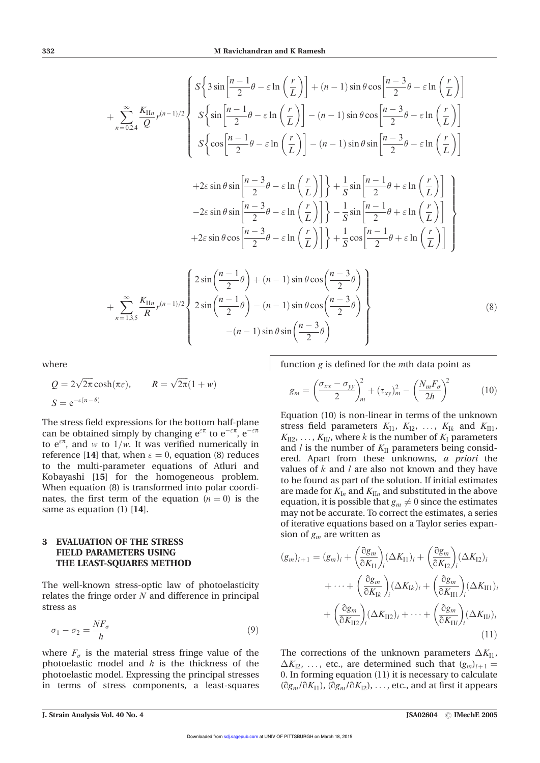$$
+\sum_{n=0,2,4}^{\infty} \frac{K_{\text{IIn}}}{Q} r^{(n-1)/2} \begin{cases} S\left\{3 \sin\left[\frac{n-1}{2}\theta-\varepsilon \ln\left(\frac{r}{L}\right)\right]+(n-1) \sin\theta \cos\left[\frac{n-3}{2}\theta-\varepsilon \ln\left(\frac{r}{L}\right)\right] \right\} \\ S\left\{ \sin\left[\frac{n-1}{2}\theta-\varepsilon \ln\left(\frac{r}{L}\right)\right]- (n-1) \sin\theta \cos\left[\frac{n-3}{2}\theta-\varepsilon \ln\left(\frac{r}{L}\right)\right] \right\} \\ S\left\{ \cos\left[\frac{n-1}{2}\theta-\varepsilon \ln\left(\frac{r}{L}\right)\right]- (n-1) \sin\theta \sin\left[\frac{n-3}{2}\theta-\varepsilon \ln\left(\frac{r}{L}\right)\right] \right\} \\ +2\varepsilon \sin\theta \sin\left[\frac{n-3}{2}\theta-\varepsilon \ln\left(\frac{r}{L}\right)\right] \right\} + \frac{1}{S} \sin\left[\frac{n-1}{2}\theta+\varepsilon \ln\left(\frac{r}{L}\right)\right] \\ -2\varepsilon \sin\theta \sin\left[\frac{n-3}{2}\theta-\varepsilon \ln\left(\frac{r}{L}\right)\right] \right\} - \frac{1}{S} \sin\left[\frac{n-1}{2}\theta+\varepsilon \ln\left(\frac{r}{L}\right)\right] \\ +2\varepsilon \sin\theta \cos\left[\frac{n-3}{2}\theta-\varepsilon \ln\left(\frac{r}{L}\right)\right] \right\} + \frac{1}{S} \cos\left[\frac{n-1}{2}\theta+\varepsilon \ln\left(\frac{r}{L}\right)\right] \\ + \sum_{n=1,3,5}^{\infty} \frac{K_{\text{IIn}}}{R} r^{(n-1)/2} \begin{cases} 2\sin\left(\frac{n-1}{2}\theta\right)+(n-1)\sin\theta \cos\left(\frac{n-3}{2}\theta\right) \\ 2\sin\left(\frac{n-1}{2}\theta\right)-(n-1)\sin\theta \cos\left(\frac{n-3}{2}\theta\right) \\ -(n-1)\sin\theta \sin\left(\frac{n-3}{2}\theta\right) \end{cases} \tag{8}
$$

where

$$
Q = 2\sqrt{2\pi} \cosh(\pi \varepsilon), \qquad R = \sqrt{2\pi} (1 + w)
$$

$$
S = e^{-\varepsilon(\pi - \theta)}
$$

The stress field expressions for the bottom half-plane can be obtained simply by changing  $e^{\varepsilon \pi}$  to  $e^{-\varepsilon \pi}$ ,  $e^{-\varepsilon \pi}$ to  $e^{\varepsilon \pi}$ , and w to  $1/w$ . It was verified numerically in reference [14] that, when  $\varepsilon = 0$ , equation (8) reduces to the multi-parameter equations of Atluri and Kobayashi [15] for the homogeneous problem. When equation (8) is transformed into polar coordinates, the first term of the equation  $(n = 0)$  is the same as equation (1) [14].

# 3 EVALUATION OF THE STRESS FIELD PARAMETERS USING THE LEAST-SQUARES METHOD

The well-known stress-optic law of photoelasticity relates the fringe order  $N$  and difference in principal stress as

$$
\sigma_1 - \sigma_2 = \frac{NF_\sigma}{h} \tag{9}
$$

where  $F_{\sigma}$  is the material stress fringe value of the photoelastic model and  $h$  is the thickness of the photoelastic model. Expressing the principal stresses in terms of stress components, a least-squares function  $g$  is defined for the  $m$ th data point as

$$
g_m = \left(\frac{\sigma_{xx} - \sigma_{yy}}{2}\right)_m^2 + (\tau_{xy})_m^2 - \left(\frac{N_m F_\sigma}{2h}\right)^2 \tag{10}
$$

Equation (10) is non-linear in terms of the unknown stress field parameters  $K_{11}$ ,  $K_{12}$ , ...,  $K_{1k}$  and  $K_{11}$ ,  $K_{II2}, \ldots, K_{IIl}$ , where k is the number of  $K_I$  parameters and *l* is the number of  $K<sub>II</sub>$  parameters being considered. Apart from these unknowns, a priori the values of  $k$  and  $l$  are also not known and they have to be found as part of the solution. If initial estimates are made for  $K_{In}$  and  $K_{In}$  and substituted in the above equation, it is possible that  $g_m \neq 0$  since the estimates may not be accurate. To correct the estimates, a series of iterative equations based on a Taylor series expansion of  $g_m$  are written as

$$
(g_m)_{i+1} = (g_m)_i + \left(\frac{\partial g_m}{\partial K_{II}}\right)_i (\Delta K_{II})_i + \left(\frac{\partial g_m}{\partial K_{I2}}\right)_i (\Delta K_{I2})_i
$$
  
 
$$
+ \cdots + \left(\frac{\partial g_m}{\partial K_{Ik}}\right)_i (\Delta K_{Ik})_i + \left(\frac{\partial g_m}{\partial K_{III}}\right)_i (\Delta K_{III})_i
$$
  
 
$$
+ \left(\frac{\partial g_m}{\partial K_{II2}}\right)_i (\Delta K_{II2})_i + \cdots + \left(\frac{\partial g_m}{\partial K_{III}}\right)_i (\Delta K_{III})_i
$$
  
(11)

The corrections of the unknown parameters  $\Delta K_{\text{II}}$ ,  $\Delta K_{12}$ , ..., etc., are determined such that  $(g_m)_{i+1} =$ 0. In forming equation (11) it is necessary to calculate  $(\partial g_m/\partial K_{11}), (\partial g_m/\partial K_{12}), \ldots$ , etc., and at first it appears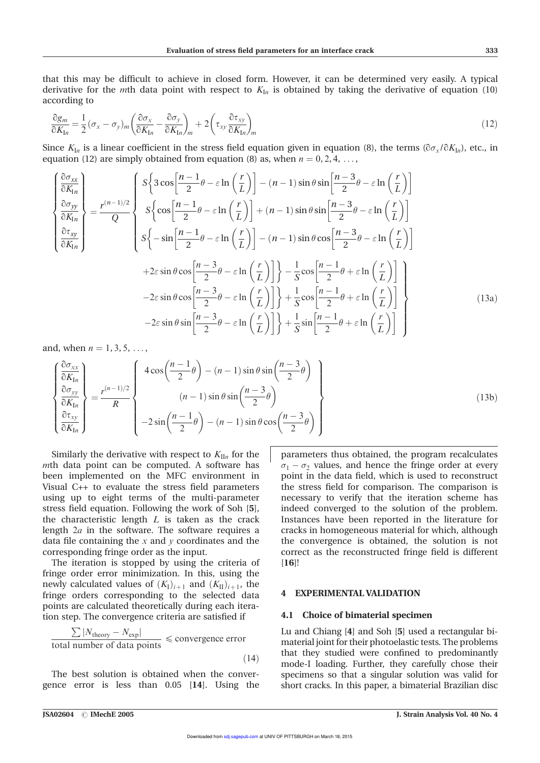that this may be difficult to achieve in closed form. However, it can be determined very easily. A typical derivative for the mth data point with respect to  $K_{1n}$  is obtained by taking the derivative of equation (10) according to

$$
\frac{\partial g_m}{\partial K_{\text{In}}} = \frac{1}{2} (\sigma_x - \sigma_y)_m \left( \frac{\partial \sigma_x}{\partial K_{\text{In}}} - \frac{\partial \sigma_y}{\partial K_{\text{In}}} \right)_m + 2 \left( \tau_{xy} \frac{\partial \tau_{xy}}{\partial K_{\text{In}}} \right)_m \tag{12}
$$

Since  $K_{\text{In}}$  is a linear coefficient in the stress field equation given in equation (8), the terms ( $\partial \sigma_x/\partial K_{\text{In}}$ ), etc., in equation (12) are simply obtained from equation (8) as, when  $n = 0, 2, 4, \ldots$ ,

$$
\begin{pmatrix}\n\frac{\partial \sigma_{xx}}{\partial K_{ln}} \\
\frac{\partial \sigma_{yy}}{\partial K_{ln}}\n\end{pmatrix} = \frac{r^{(n-1)/2}}{Q} \begin{pmatrix}\nS\left\{3\cos\left[\frac{n-1}{2}\theta - \varepsilon \ln\left(\frac{r}{L}\right)\right] - (n-1)\sin\theta \sin\left[\frac{n-3}{2}\theta - \varepsilon \ln\left(\frac{r}{L}\right)\right]\n\end{pmatrix} \\
S\left\{ \cos\left[\frac{n-1}{2}\theta - \varepsilon \ln\left(\frac{r}{L}\right)\right] + (n-1)\sin\theta \sin\left[\frac{n-3}{2}\theta - \varepsilon \ln\left(\frac{r}{L}\right)\right]\n\end{pmatrix} \\
+ 2\varepsilon \sin\theta \cos\left[\frac{n-3}{2}\theta - \varepsilon \ln\left(\frac{r}{L}\right)\right] - (n-1)\sin\theta \cos\left[\frac{n-3}{2}\theta - \varepsilon \ln\left(\frac{r}{L}\right)\right] \\
+ 2\varepsilon \sin\theta \cos\left[\frac{n-3}{2}\theta - \varepsilon \ln\left(\frac{r}{L}\right)\right]\n\end{pmatrix} - 2\varepsilon \sin\theta \cos\left[\frac{n-3}{2}\theta - \varepsilon \ln\left(\frac{r}{L}\right)\right]\n\begin{pmatrix}\n\frac{1}{2}\cos\left[\frac{n-1}{2}\theta + \varepsilon \ln\left(\frac{r}{L}\right)\right] \\
-\frac{1}{2}\cos\theta \sin\left[\frac{n-3}{2}\theta - \varepsilon \ln\left(\frac{r}{L}\right)\right]\n\end{pmatrix} + \frac{1}{3}\cos\left[\frac{n-1}{2}\theta + \varepsilon \ln\left(\frac{r}{L}\right)\right]\n\end{pmatrix}
$$
\n(13a)

and, when  $n = 1, 3, 5, \ldots$ ,

$$
\begin{Bmatrix}\n\frac{\partial \sigma_{xx}}{\partial K_{\text{In}}}\n\\
\frac{\partial \sigma_{yy}}{\partial K_{\text{In}}}\n\\
\frac{\partial \sigma_{yy}}{\partial K_{\text{In}}}\n\end{Bmatrix} = \frac{r^{(n-1)/2}}{R} \begin{Bmatrix}\n4\cos\left(\frac{n-1}{2}\theta\right) - (n-1)\sin\theta\sin\left(\frac{n-3}{2}\theta\right) \\
(n-1)\sin\theta\sin\left(\frac{n-3}{2}\theta\right) \\
-2\sin\left(\frac{n-1}{2}\theta\right) - (n-1)\sin\theta\cos\left(\frac{n-3}{2}\theta\right)\n\end{Bmatrix}
$$
\n(13b)

Similarly the derivative with respect to  $K_{\text{II}n}$  for the mth data point can be computed. A software has been implemented on the MFC environment in Visual C++ to evaluate the stress field parameters using up to eight terms of the multi-parameter stress field equation. Following the work of Soh [5], the characteristic length  $L$  is taken as the crack length  $2a$  in the software. The software requires a data file containing the x and y coordinates and the corresponding fringe order as the input.

The iteration is stopped by using the criteria of fringe order error minimization. In this, using the newly calculated values of  $(K_I)_{i+1}$  and  $(K_{II})_{i+1}$ , the fringe orders corresponding to the selected data points are calculated theoretically during each iteration step. The convergence criteria are satisfied if

 $\frac{\sum |N_{\text{theory}} - N_{\text{exp}}|}{\text{total number of data points}} \leq \text{convergence error}$  $(14)$ 

The best solution is obtained when the convergence error is less than 0.05 [14]. Using the parameters thus obtained, the program recalculates  $\sigma_1 - \sigma_2$  values, and hence the fringe order at every point in the data field, which is used to reconstruct the stress field for comparison. The comparison is necessary to verify that the iteration scheme has indeed converged to the solution of the problem. Instances have been reported in the literature for cracks in homogeneous material for which, although the convergence is obtained, the solution is not correct as the reconstructed fringe field is different [16]!

#### **EXPERIMENTAL VALIDATION**

#### 4.1 Choice of bimaterial specimen

Lu and Chiang [4] and Soh [5] used a rectangular bimaterial joint for their photoelastic tests. The problems that they studied were confined to predominantly mode-I loading. Further, they carefully chose their specimens so that a singular solution was valid for short cracks. In this paper, a bimaterial Brazilian disc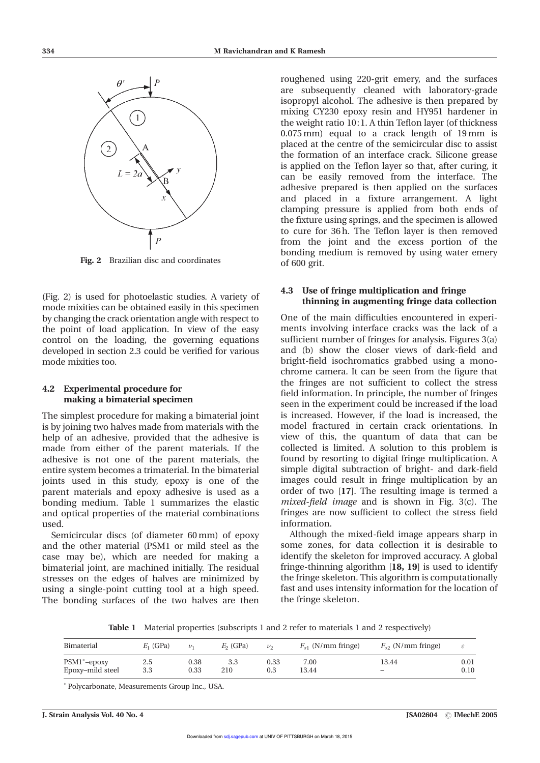

Fig. 2 Brazilian disc and coordinates

(Fig. 2) is used for photoelastic studies. A variety of mode mixities can be obtained easily in this specimen by changing the crack orientation angle with respect to the point of load application. In view of the easy control on the loading, the governing equations developed in section 2.3 could be verified for various mode mixities too.

# 4.2 Experimental procedure for making a bimaterial specimen

The simplest procedure for making a bimaterial joint is by joining two halves made from materials with the help of an adhesive, provided that the adhesive is made from either of the parent materials. If the adhesive is not one of the parent materials, the entire system becomes a trimaterial. In the bimaterial joints used in this study, epoxy is one of the parent materials and epoxy adhesive is used as a bonding medium. Table 1 summarizes the elastic and optical properties of the material combinations used.

Semicircular discs (of diameter 60 mm) of epoxy and the other material (PSM1 or mild steel as the case may be), which are needed for making a bimaterial joint, are machined initially. The residual stresses on the edges of halves are minimized by using a single-point cutting tool at a high speed. The bonding surfaces of the two halves are then

roughened using 220-grit emery, and the surfaces are subsequently cleaned with laboratory-grade isopropyl alcohol. The adhesive is then prepared by mixing CY230 epoxy resin and HY951 hardener in the weight ratio 10: 1. A thin Teflon layer (of thickness 0.075 mm) equal to a crack length of 19 mm is placed at the centre of the semicircular disc to assist the formation of an interface crack. Silicone grease is applied on the Teflon layer so that, after curing, it can be easily removed from the interface. The adhesive prepared is then applied on the surfaces and placed in a fixture arrangement. A light clamping pressure is applied from both ends of the fixture using springs, and the specimen is allowed to cure for 36 h. The Teflon layer is then removed from the joint and the excess portion of the bonding medium is removed by using water emery of 600 grit.

# 4.3 Use of fringe multiplication and fringe thinning in augmenting fringe data collection

One of the main difficulties encountered in experiments involving interface cracks was the lack of a sufficient number of fringes for analysis. Figures 3(a) and (b) show the closer views of dark-field and bright-field isochromatics grabbed using a monochrome camera. It can be seen from the figure that the fringes are not sufficient to collect the stress field information. In principle, the number of fringes seen in the experiment could be increased if the load is increased. However, if the load is increased, the model fractured in certain crack orientations. In view of this, the quantum of data that can be collected is limited. A solution to this problem is found by resorting to digital fringe multiplication. A simple digital subtraction of bright- and dark-field images could result in fringe multiplication by an order of two [17]. The resulting image is termed a mixed-field image and is shown in Fig. 3(c). The fringes are now sufficient to collect the stress field information.

Although the mixed-field image appears sharp in some zones, for data collection it is desirable to identify the skeleton for improved accuracy. A global fringe-thinning algorithm [18, 19] is used to identify the fringe skeleton. This algorithm is computationally fast and uses intensity information for the location of the fringe skeleton.

Table 1 Material properties (subscripts 1 and 2 refer to materials 1 and 2 respectively)

| Bimaterial       | $E_1$ (GPa) | $\nu_1$ | $E_2$ (GPa) | $\nu_{\mathcal{D}}$ | $F_{\alpha 1}$ (N/mm fringe) | $F_{\sigma^2}$ (N/mm fringe) | ε    |
|------------------|-------------|---------|-------------|---------------------|------------------------------|------------------------------|------|
| $PSM1*-epoxy$    | 2.5         | 0.38    | 3.3         | 0.33                | 7.00                         | 13.44                        | 0.01 |
| Epoxy-mild steel | 3.3         | 0.33    | 210         | 0.3                 | 13.44                        | $\overline{\phantom{0}}$     | 0.10 |

Polycarbonate, Measurements Group Inc., USA.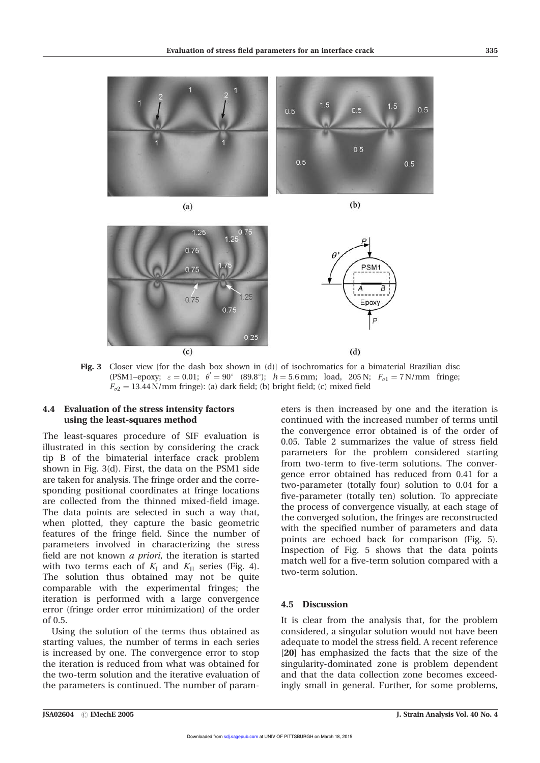



Fig. 3 Closer view [for the dash box shown in (d)] of isochromatics for a bimaterial Brazilian disc (PSM1–epoxy;  $\varepsilon = 0.01; \; \theta' = 90^{\circ}$  (89.8°);  $h = 5.6$  mm; load, 205 N;  $F_{\sigma 1} = 7$  N/mm fringe;  $F_{\sigma2} = 13.44$  N/mm fringe): (a) dark field; (b) bright field; (c) mixed field

#### 4.4 Evaluation of the stress intensity factors using the least-squares method

The least-squares procedure of SIF evaluation is illustrated in this section by considering the crack tip B of the bimaterial interface crack problem shown in Fig. 3(d). First, the data on the PSM1 side are taken for analysis. The fringe order and the corresponding positional coordinates at fringe locations are collected from the thinned mixed-field image. The data points are selected in such a way that, when plotted, they capture the basic geometric features of the fringe field. Since the number of parameters involved in characterizing the stress field are not known a priori, the iteration is started with two terms each of  $K_I$  and  $K_{II}$  series (Fig. 4). The solution thus obtained may not be quite comparable with the experimental fringes; the iteration is performed with a large convergence error (fringe order error minimization) of the order of 0.5.

Using the solution of the terms thus obtained as starting values, the number of terms in each series is increased by one. The convergence error to stop the iteration is reduced from what was obtained for the two-term solution and the iterative evaluation of the parameters is continued. The number of parameters is then increased by one and the iteration is continued with the increased number of terms until the convergence error obtained is of the order of 0.05. Table 2 summarizes the value of stress field parameters for the problem considered starting from two-term to five-term solutions. The convergence error obtained has reduced from 0.41 for a two-parameter (totally four) solution to 0.04 for a five-parameter (totally ten) solution. To appreciate the process of convergence visually, at each stage of the converged solution, the fringes are reconstructed with the specified number of parameters and data points are echoed back for comparison (Fig. 5). Inspection of Fig. 5 shows that the data points match well for a five-term solution compared with a two-term solution.

#### 4.5 Discussion

It is clear from the analysis that, for the problem considered, a singular solution would not have been adequate to model the stress field. A recent reference [20] has emphasized the facts that the size of the singularity-dominated zone is problem dependent and that the data collection zone becomes exceedingly small in general. Further, for some problems,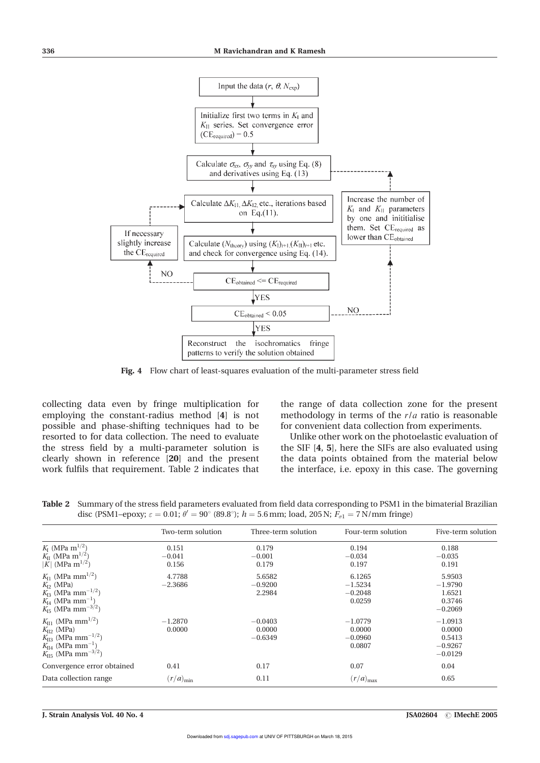

Fig. 4 Flow chart of least-squares evaluation of the multi-parameter stress field

collecting data even by fringe multiplication for employing the constant-radius method [4] is not possible and phase-shifting techniques had to be resorted to for data collection. The need to evaluate the stress field by a multi-parameter solution is clearly shown in reference [20] and the present work fulfils that requirement. Table 2 indicates that

the range of data collection zone for the present methodology in terms of the  $r/a$  ratio is reasonable for convenient data collection from experiments.

Unlike other work on the photoelastic evaluation of the SIF [4, 5], here the SIFs are also evaluated using the data points obtained from the material below the interface, i.e. epoxy in this case. The governing

Table 2 Summary of the stress field parameters evaluated from field data corresponding to PSM1 in the bimaterial Brazilian disc (PSM1–epoxy;  $\varepsilon = 0.01; \theta' = 90^{\circ}$  (89.8°);  $h = 5.6$  mm; load, 205 N;  $F_{\sigma 1} = 7$  N/mm fringe)

|                                                                                                                                                                                | Two-term solution          | Three-term solution              | Four-term solution                         | Five-term solution                                      |
|--------------------------------------------------------------------------------------------------------------------------------------------------------------------------------|----------------------------|----------------------------------|--------------------------------------------|---------------------------------------------------------|
| $K_{\rm I}$ (MPa $\rm m^{1/2})$<br>$K_{II}$ (MPa m <sup>1/2</sup> )<br>$ \mathbf{K} $ (MPa m <sup>1/2</sup> )                                                                  | 0.151<br>$-0.041$<br>0.156 | 0.179<br>$-0.001$<br>0.179       | 0.194<br>$-0.034$<br>0.197                 | 0.188<br>$-0.035$<br>0.191                              |
| $K_{11}$ (MPa mm <sup>1/2</sup> )<br>$K_{12}$ (MPa)<br>$K_{13}$ (MPa mm <sup>-1/2</sup> )<br>$K_{14}$ (MPa mm <sup>-1</sup> )<br>$K_{15}$ (MPa mm <sup>-3/2</sup> )            | 4.7788<br>$-2.3686$        | 5.6582<br>$-0.9200$<br>2.2984    | 6.1265<br>$-1.5234$<br>$-0.2048$<br>0.0259 | 5.9503<br>$-1.9790$<br>1.6521<br>0.3746<br>$-0.2069$    |
| $K_{\text{II}}$ (MPa mm <sup>1/2</sup> )<br>$K_{II2}$ (MPa)<br>$K_{II3}$ (MPa mm <sup>-1/2</sup> )<br>$K_{II4}$ (MPa mm <sup>-1</sup> )<br>$K_{II5}$ (MPa mm <sup>-3/2</sup> ) | $-1.2870$<br>0.0000        | $-0.0403$<br>0.0000<br>$-0.6349$ | $-1.0779$<br>0.0000<br>$-0.0960$<br>0.0807 | $-1.0913$<br>0.0000<br>0.5413<br>$-0.9267$<br>$-0.0129$ |
| Convergence error obtained                                                                                                                                                     | 0.41                       | 0.17                             | 0.07                                       | 0.04                                                    |
| Data collection range                                                                                                                                                          | $(r/a)_{\min}$             | 0.11                             | $(r/a)_{\text{max}}$                       | 0.65                                                    |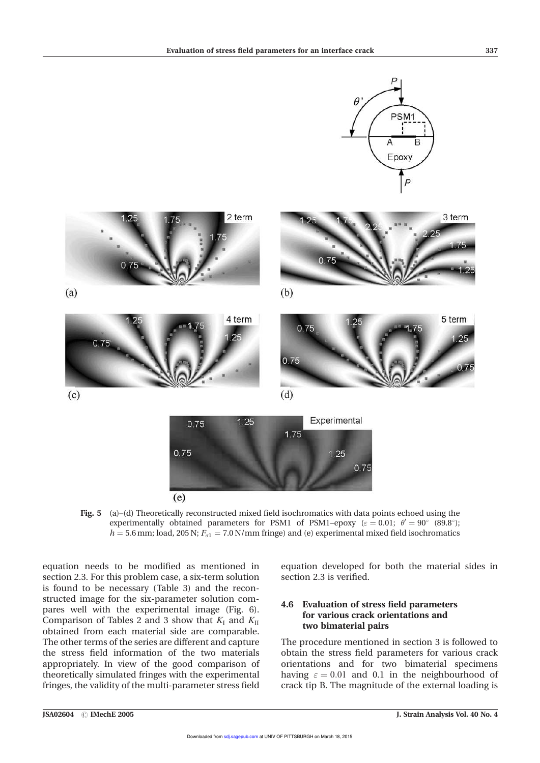$\theta$ 

PSM<sub>1</sub>



Fig. 5 (a)–(d) Theoretically reconstructed mixed field isochromatics with data points echoed using the experimentally obtained parameters for PSM1 of PSM1–epoxy ( $\varepsilon = 0.01$ ;  $\theta' = 90^\circ$  (89.8°);  $h = 5.6$  mm; load, 205 N;  $F_{a1} = 7.0$  N/mm fringe) and (e) experimental mixed field isochromatics

equation needs to be modified as mentioned in section 2.3. For this problem case, a six-term solution is found to be necessary (Table 3) and the reconstructed image for the six-parameter solution compares well with the experimental image (Fig. 6). Comparison of Tables 2 and 3 show that  $K_I$  and  $K_{II}$ obtained from each material side are comparable. The other terms of the series are different and capture the stress field information of the two materials appropriately. In view of the good comparison of theoretically simulated fringes with the experimental fringes, the validity of the multi-parameter stress field

equation developed for both the material sides in section 2.3 is verified.

# 4.6 Evaluation of stress field parameters for various crack orientations and two bimaterial pairs

The procedure mentioned in section 3 is followed to obtain the stress field parameters for various crack orientations and for two bimaterial specimens having  $\varepsilon = 0.01$  and 0.1 in the neighbourhood of crack tip B. The magnitude of the external loading is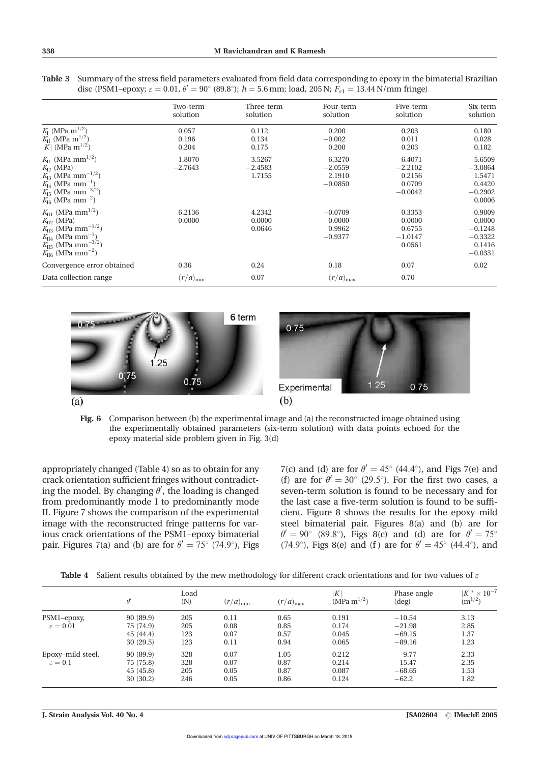|                                                                                                                                                                                                                      | Two-term<br>solution    | Three-term<br>solution        | Four-term<br>solution                      | Five-term<br>solution                                | Six-term<br>solution                                              |
|----------------------------------------------------------------------------------------------------------------------------------------------------------------------------------------------------------------------|-------------------------|-------------------------------|--------------------------------------------|------------------------------------------------------|-------------------------------------------------------------------|
| $K_{I}$ (MPa m <sup>1/2</sup> )<br>$K_{II}$ (MPa m <sup>1/2</sup> )<br>  $K$   (MPa m <sup>1/2</sup> )                                                                                                               | 0.057<br>0.196<br>0.204 | 0.112<br>0.134<br>0.175       | 0.200<br>$-0.002$<br>0.200                 | 0.203<br>0.011<br>0.203                              | 0.180<br>0.028<br>0.182                                           |
| $K_{11}$ (MPa mm <sup>1/2</sup> )<br>$K_{12}$ (MPa)<br>$K_{13}$ (MPa mm <sup>-1/2</sup> )<br>$K_{14}$ (MPa mm <sup>-1</sup> )<br>$K_{15}$ (MPa mm <sup>-3/2</sup> )<br>$K_{16}$ (MPa mm <sup>-2</sup> )              | 1.8070<br>$-2.7643$     | 3.5267<br>$-2.4583$<br>1.7155 | 6.3270<br>$-2.0559$<br>2.1910<br>$-0.0850$ | 6.4071<br>$-2.2102$<br>0.2156<br>0.0709<br>$-0.0042$ | 5.6509<br>$-3.0864$<br>1.5471<br>0.4420<br>$-0.2902$<br>0.0006    |
| $K_{\text{III}}$ (MPa mm <sup>1/2</sup> )<br>$K_{II2}$ (MPa)<br>$K_{II3}$ (MPa mm <sup>-1/2</sup> )<br>$K_{II4}$ (MPa mm <sup>-1</sup> )<br>$K_{II5}$ (MPa mm <sup>-3/2</sup> )<br>$K_{II6}$ (MPa mm <sup>-2</sup> ) | 6.2136<br>0.0000        | 4.2342<br>0.0000<br>0.0646    | $-0.0709$<br>0.0000<br>0.9962<br>$-0.9377$ | 0.3353<br>0.0000<br>0.6755<br>$-1.0147$<br>0.0561    | 0.9009<br>0.0000<br>$-0.1248$<br>$-0.3322$<br>0.1416<br>$-0.0331$ |
| Convergence error obtained                                                                                                                                                                                           | 0.36                    | 0.24                          | 0.18                                       | 0.07                                                 | 0.02                                                              |
| Data collection range                                                                                                                                                                                                | $(r/a)_{\min}$          | 0.07                          | $(r/a)_{\text{max}}$                       | 0.70                                                 |                                                                   |

Table 3 Summary of the stress field parameters evaluated from field data corresponding to epoxy in the bimaterial Brazilian disc (PSM1–epoxy;  $\varepsilon = 0.01$ ,  $\theta' = 90^{\circ}$  (89.8°);  $h = 5.6$  mm; load, 205 N;  $F_{\sigma 1} = 13.44$  N/mm fringe)



Fig. 6 Comparison between (b) the experimental image and (a) the reconstructed image obtained using the experimentally obtained parameters (six-term solution) with data points echoed for the epoxy material side problem given in Fig. 3(d)

appropriately changed (Table 4) so as to obtain for any crack orientation sufficient fringes without contradicting the model. By changing  $\theta'$ , the loading is changed from predominantly mode I to predominantly mode II. Figure 7 shows the comparison of the experimental image with the reconstructed fringe patterns for various crack orientations of the PSM1–epoxy bimaterial pair. Figures 7(a) and (b) are for  $\theta' = 75^{\circ}$  (74.9°), Figs

7(c) and (d) are for  $\theta' = 45^{\circ}$  (44.4°), and Figs 7(e) and (f) are for  $\theta' = 30^{\circ}$  (29.5°). For the first two cases, a seven-term solution is found to be necessary and for the last case a five-term solution is found to be sufficient. Figure 8 shows the results for the epoxy–mild steel bimaterial pair. Figures 8(a) and (b) are for  $\theta' = 90^{\circ}$  (89.8°), Figs 8(c) and (d) are for  $\theta' = 75^{\circ}$ (74.9°), Figs 8(e) and (f) are for  $\theta' = 45^{\circ}$  (44.4°), and

|  |  |  |  |  |  |  |  | Table 4 Salient results obtained by the new methodology for different crack orientations and for two values of $\varepsilon$ |  |  |
|--|--|--|--|--|--|--|--|------------------------------------------------------------------------------------------------------------------------------|--|--|
|--|--|--|--|--|--|--|--|------------------------------------------------------------------------------------------------------------------------------|--|--|

|                      | $\theta'$ | Load<br>(N) | $(r/a)_{\min}$ | $(r/a)_{\text{max}}$ | K <br>$(MPa \, m^{1/2})$ | Phase angle<br>$(\text{deg})$ | $ K ^* \times 10^{-7}$<br>$(m^{1/2})$ |
|----------------------|-----------|-------------|----------------|----------------------|--------------------------|-------------------------------|---------------------------------------|
| PSM1-epoxy,          | 90 (89.9) | 205         | 0.11           | 0.65                 | 0.191                    | $-10.54$                      | 3.13                                  |
| $\varepsilon = 0.01$ | 75 (74.9) | 205         | 0.08           | 0.85                 | 0.174                    | $-21.98$                      | 2.85                                  |
|                      | 45 (44.4) | 123         | 0.07           | 0.57                 | 0.045                    | $-69.15$                      | 1.37                                  |
|                      | 30(29.5)  | 123         | 0.11           | 0.94                 | 0.065                    | $-89.16$                      | 1.23                                  |
| Epoxy-mild steel,    | 90 (89.9) | 328         | 0.07           | 1.05                 | 0.212                    | 9.77                          | 2.33                                  |
| $\varepsilon = 0.1$  | 75 (75.8) | 328         | 0.07           | 0.87                 | 0.214                    | 15.47                         | 2.35                                  |
|                      | 45 (45.8) | 205         | 0.05           | 0.87                 | 0.087                    | $-68.65$                      | 1.53                                  |
|                      | 30(30.2)  | 246         | 0.05           | 0.86                 | 0.124                    | $-62.2$                       | 1.82                                  |

J. Strain Analysis Vol. 40 No. 4 JSA02604 + Charles Extended the Strain Analysis Vol. 40 No. 4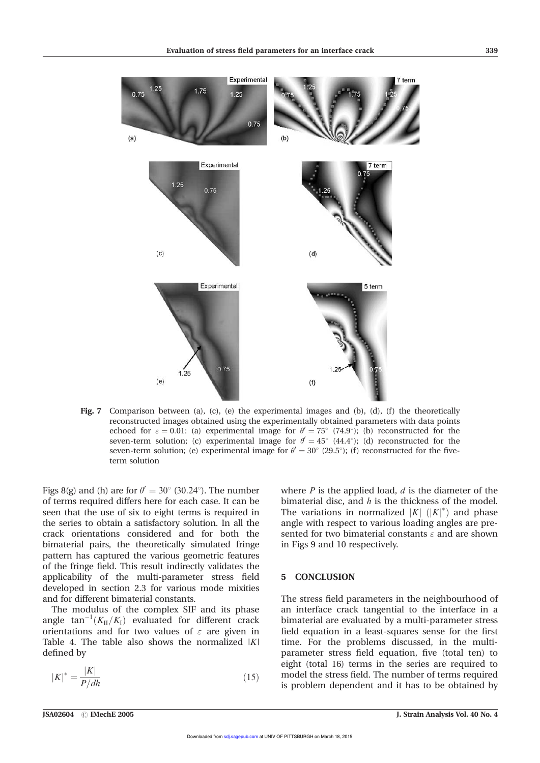

Fig. 7 Comparison between (a), (c), (e) the experimental images and (b), (d), (f) the theoretically reconstructed images obtained using the experimentally obtained parameters with data points echoed for  $\varepsilon = 0.01$ : (a) experimental image for  $\theta' = 75^\circ$  (74.9°); (b) reconstructed for the seven-term solution; (c) experimental image for  $\theta' = 45^{\circ}$  (44.4°); (d) reconstructed for the seven-term solution; (e) experimental image for  $\theta' = 30^{\circ}$  (29.5°); (f) reconstructed for the fiveterm solution

Figs 8(g) and (h) are for  $\theta' = 30^{\circ}$  (30.24°). The number of terms required differs here for each case. It can be seen that the use of six to eight terms is required in the series to obtain a satisfactory solution. In all the crack orientations considered and for both the bimaterial pairs, the theoretically simulated fringe pattern has captured the various geometric features of the fringe field. This result indirectly validates the applicability of the multi-parameter stress field developed in section 2.3 for various mode mixities and for different bimaterial constants.

The modulus of the complex SIF and its phase angle  $\tan^{-1}(K_{\text{II}}/K_{\text{I}})$  evaluated for different crack orientations and for two values of  $\varepsilon$  are given in Table 4. The table also shows the normalized  $|K|$ defined by

$$
|K|^* = \frac{|K|}{P/dh} \tag{15}
$$

where  $P$  is the applied load,  $d$  is the diameter of the bimaterial disc, and  $h$  is the thickness of the model. The variations in normalized  $|K|$   $(|K|^*)$  and phase angle with respect to various loading angles are presented for two bimaterial constants  $\varepsilon$  and are shown in Figs 9 and 10 respectively.

#### 5 CONCLUSION

The stress field parameters in the neighbourhood of an interface crack tangential to the interface in a bimaterial are evaluated by a multi-parameter stress field equation in a least-squares sense for the first time. For the problems discussed, in the multiparameter stress field equation, five (total ten) to eight (total 16) terms in the series are required to model the stress field. The number of terms required is problem dependent and it has to be obtained by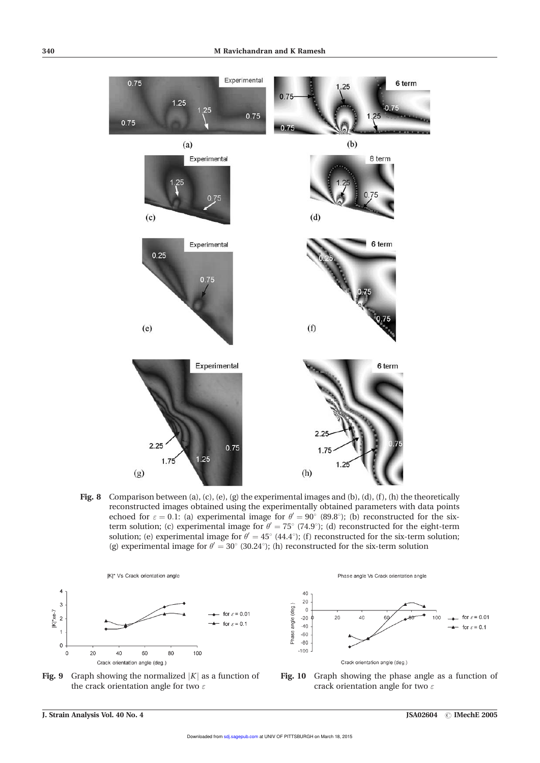

Fig. 8 Comparison between (a), (c), (e), (g) the experimental images and (b), (d), (f), (h) the theoretically reconstructed images obtained using the experimentally obtained parameters with data points echoed for  $\varepsilon = 0.1$ : (a) experimental image for  $\theta' = 90^{\circ}$  (89.8°); (b) reconstructed for the sixterm solution; (c) experimental image for  $\theta' = 75^{\circ}$  (74.9°); (d) reconstructed for the eight-term solution; (e) experimental image for  $\theta' = 45^{\circ}$  (44.4°); (f) reconstructed for the six-term solution; (g) experimental image for  $\theta' = 30^{\circ}$  (30.24°); (h) reconstructed for the six-term solution







Phase angle Vs Crack orientation angle

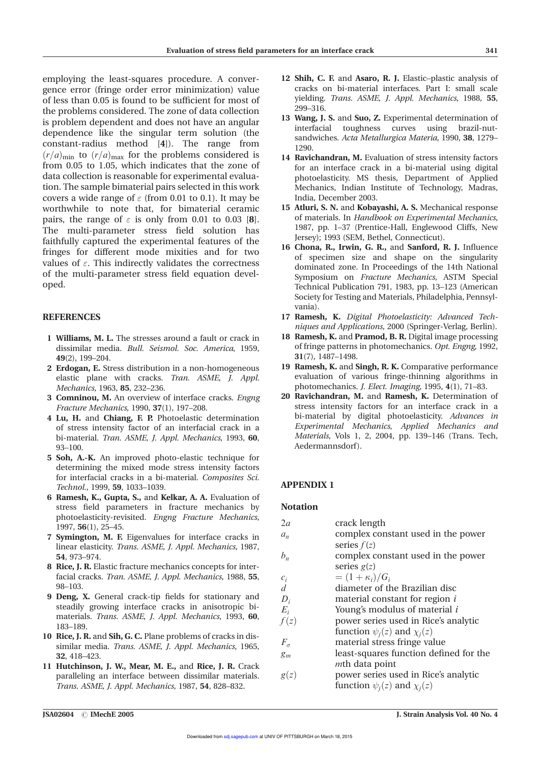employing the least-squares procedure. A convergence error (fringe order error minimization) value of less than 0.05 is found to be sufficient for most of the problems considered. The zone of data collection is problem dependent and does not have an angular dependence like the singular term solution (the constant-radius method [4]). The range from  $(r/a)_{\text{min}}$  to  $(r/a)_{\text{max}}$  for the problems considered is from 0.05 to 1.05, which indicates that the zone of data collection is reasonable for experimental evaluation. The sample bimaterial pairs selected in this work covers a wide range of  $\epsilon$  (from 0.01 to 0.1). It may be worthwhile to note that, for bimaterial ceramic pairs, the range of  $\varepsilon$  is only from 0.01 to 0.03 [8]. The multi-parameter stress field solution has faithfully captured the experimental features of the fringes for different mode mixities and for two values of  $\varepsilon$ . This indirectly validates the correctness of the multi-parameter stress field equation developed.

#### **REFERENCES**

- 1 Williams, M. L. The stresses around a fault or crack in dissimilar media. Bull. Seismol. Soc. America, 1959, 49(2), 199–204.
- 2 Erdogan, E. Stress distribution in a non-homogeneous elastic plane with cracks. Tran. ASME, J. Appl. Mechanics, 1963, 85, 232–236.
- 3 Comninou, M. An overview of interface cracks. Engng Fracture Mechanics, 1990, 37(1), 197–208.
- 4 Lu, H. and Chiang, F. P. Photoelastic determination of stress intensity factor of an interfacial crack in a bi-material. Tran. ASME, J. Appl. Mechanics, 1993, 60, 93–100.
- 5 Soh, A.-K. An improved photo-elastic technique for determining the mixed mode stress intensity factors for interfacial cracks in a bi-material. Composites Sci. Technol., 1999, 59, 1033–1039.
- 6 Ramesh, K., Gupta, S., and Kelkar, A. A. Evaluation of stress field parameters in fracture mechanics by photoelasticity-revisited. Engng Fracture Mechanics, 1997, 56(1), 25–45.
- 7 Symington, M. F. Eigenvalues for interface cracks in linear elasticity. Trans. ASME, J. Appl. Mechanics, 1987, 54, 973–974.
- 8 Rice, J. R. Elastic fracture mechanics concepts for interfacial cracks. Tran. ASME, J. Appl. Mechanics, 1988, 55, 98–103.
- 9 Deng, X. General crack-tip fields for stationary and steadily growing interface cracks in anisotropic bimaterials. Trans. ASME, J. Appl. Mechanics, 1993, 60, 183–189.
- 10 Rice, J. R. and Sih, G. C. Plane problems of cracks in dissimilar media. Trans. ASME, J. Appl. Mechanics, 1965, 32, 418–423.
- 11 Hutchinson, J. W., Mear, M. E., and Rice, J. R. Crack paralleling an interface between dissimilar materials. Trans. ASME, J. Appl. Mechanics, 1987, 54, 828–832.
- 12 Shih, C. F. and Asaro, R. J. Elastic–plastic analysis of cracks on bi-material interfaces. Part I: small scale yielding. Trans. ASME, J. Appl. Mechanics, 1988, 55, 299–316.
- 13 Wang, J. S. and Suo, Z. Experimental determination of interfacial toughness curves using brazil-nutsandwiches. Acta Metallurgica Materia, 1990, 38, 1279– 1290.
- 14 Ravichandran, M. Evaluation of stress intensity factors for an interface crack in a bi-material using digital photoelasticity. MS thesis, Department of Applied Mechanics, Indian Institute of Technology, Madras, India, December 2003.
- 15 Atluri, S. N. and Kobayashi, A. S. Mechanical response of materials. In Handbook on Experimental Mechanics, 1987, pp. 1–37 (Prentice-Hall, Englewood Cliffs, New Jersey); 1993 (SEM, Bethel, Connecticut).
- 16 Chona, R., Irwin, G. R., and Sanford, R. J. Influence of specimen size and shape on the singularity dominated zone. In Proceedings of the 14th National Symposium on Fracture Mechanics, ASTM Special Technical Publication 791, 1983, pp. 13–123 (American Society for Testing and Materials, Philadelphia, Pennsylvania).
- 17 Ramesh, K. Digital Photoelasticity: Advanced Techniques and Applications, 2000 (Springer-Verlag, Berlin).
- 18 Ramesh, K. and Pramod, B. R. Digital image processing of fringe patterns in photomechanics. Opt. Engng, 1992, 31(7), 1487–1498.
- 19 Ramesh, K. and Singh, R. K. Comparative performance evaluation of various fringe-thinning algorithms in photomechanics. J. Elect. Imaging, 1995, 4(1), 71–83.
- 20 Ravichandran, M. and Ramesh, K. Determination of stress intensity factors for an interface crack in a bi-material by digital photoelasticity. Advances in Experimental Mechanics, Applied Mechanics and Materials, Vols 1, 2, 2004, pp. 139–146 (Trans. Tech, Aedermannsdorf)

#### APPENDIX 1

#### **Notation**

| crack length                           |
|----------------------------------------|
| complex constant used in the power     |
| series $f(z)$                          |
| complex constant used in the power     |
| series $g(z)$                          |
| $=(1+\kappa_i)/G_i$                    |
| diameter of the Brazilian disc         |
| material constant for region i         |
| Young's modulus of material i          |
| power series used in Rice's analytic   |
| function $\psi_i(z)$ and $\chi_i(z)$   |
| material stress fringe value           |
| least-squares function defined for the |
| <i>m</i> th data point                 |
| power series used in Rice's analytic   |
| function $\psi_i(z)$ and $\chi_i(z)$   |
|                                        |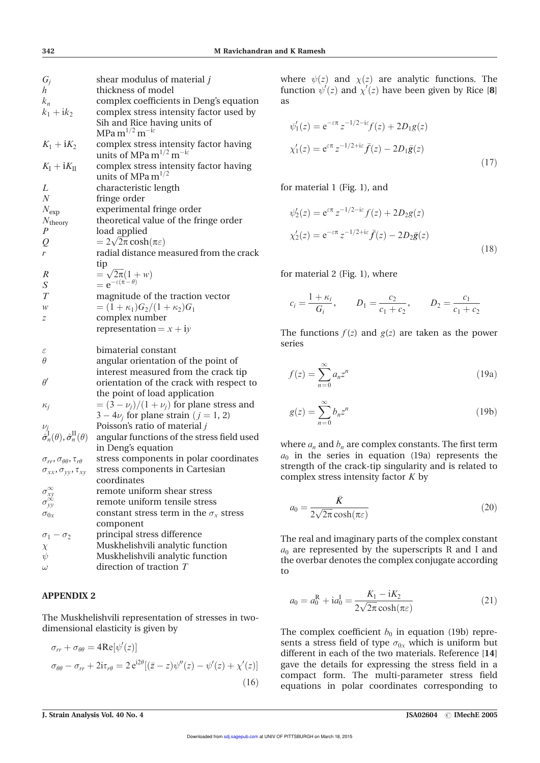| $G_i$                                                                                             | shear modulus of material j                                          |
|---------------------------------------------------------------------------------------------------|----------------------------------------------------------------------|
| h                                                                                                 | thickness of model                                                   |
| $k_n$                                                                                             | complex coefficients in Deng's equation                              |
| $k_1 + ik_2$                                                                                      | complex stress intensity factor used by                              |
|                                                                                                   | Sih and Rice having units of                                         |
|                                                                                                   | $\text{MPa}\,\text{m}^{1/2}\,\text{m}^{-\text{i}\varepsilon}$        |
| $K_1 + iK_2$                                                                                      | complex stress intensity factor having                               |
|                                                                                                   | units of MPa m <sup>1/2</sup> m <sup>-is</sup>                       |
| $K_{\rm I}+{\rm i}K_{\rm II}$                                                                     | complex stress intensity factor having                               |
|                                                                                                   | units of MPa $m^{1/2}$                                               |
| L                                                                                                 | characteristic length                                                |
| $\boldsymbol{N}$                                                                                  | fringe order                                                         |
| $N_{\rm exp}$                                                                                     | experimental fringe order                                            |
| $N_{\rm theory}$                                                                                  | theoretical value of the fringe order                                |
| $\overline{P}$                                                                                    | load applied                                                         |
| $\mathcal{Q}$                                                                                     | $=2\sqrt{2\pi}\cosh(\pi \varepsilon)$                                |
| r                                                                                                 | radial distance measured from the crack                              |
|                                                                                                   | tip                                                                  |
| $\overline{R}$                                                                                    | = $\sqrt{2\pi}(1+w)$<br>= $e^{-\epsilon(\pi-\theta)}$                |
| $\boldsymbol{S}$                                                                                  |                                                                      |
| T                                                                                                 | magnitude of the traction vector                                     |
| w                                                                                                 | $=(1+\kappa_1)G_2/(1+\kappa_2)G_1$                                   |
| z                                                                                                 | complex number                                                       |
|                                                                                                   |                                                                      |
|                                                                                                   | representation = $x + iy$                                            |
|                                                                                                   |                                                                      |
| ε                                                                                                 | bimaterial constant                                                  |
| $\theta$                                                                                          | angular orientation of the point of                                  |
|                                                                                                   | interest measured from the crack tip                                 |
| $\theta^{\prime}$                                                                                 | orientation of the crack with respect to                             |
|                                                                                                   | the point of load application                                        |
| $\kappa_i$                                                                                        | $= (3 - \nu_j)/(1 + \nu_j)$ for plane stress and                     |
|                                                                                                   | $3-4\nu_j$ for plane strain ( $j=1, 2$ )                             |
|                                                                                                   | Poisson's ratio of material j                                        |
| $\stackrel{\mathcal{U}_j}{\hat{\sigma}^{\text{I}}_n}(\theta), \hat{\sigma}^{\text{II}}_n(\theta)$ | angular functions of the stress field used                           |
|                                                                                                   | in Deng's equation                                                   |
| $\sigma_{rr}, \sigma_{\theta\theta}, \tau_{r\theta}$                                              | stress components in polar coordinates                               |
| $\sigma_{xx}, \sigma_{yy}, \tau_{xy}$                                                             | stress components in Cartesian                                       |
|                                                                                                   | coordinates                                                          |
|                                                                                                   | remote uniform shear stress                                          |
| $\sigma_{xy}^{\infty}$<br>$\sigma_{yy}^{\infty}$                                                  | remote uniform tensile stress                                        |
| $\sigma_{0x}$                                                                                     | constant stress term in the $\sigma_x$ stress                        |
|                                                                                                   | component                                                            |
| $\sigma_1-\sigma_2$                                                                               | principal stress difference                                          |
| X<br>$\psi$                                                                                       | Muskhelishvili analytic function<br>Muskhelishvili analytic function |

# APPENDIX 2

The Muskhelishvili representation of stresses in twodimensional elasticity is given by

$$
\sigma_{rr} + \sigma_{\theta\theta} = 4\text{Re}[\psi'(z)]
$$
  
\n
$$
\sigma_{\theta\theta} - \sigma_{rr} + 2i\tau_{r\theta} = 2e^{i2\theta}[(\bar{z} - z)\psi''(z) - \psi'(z) + \chi'(z)]
$$
\n(16)

where  $\psi(z)$  and  $\chi(z)$  are analytic functions. The function  $\psi'(z)$  and  $\chi'(z)$  have been given by Rice [8] as

$$
\psi_1'(z) = e^{-\varepsilon \pi} z^{-1/2 - i\varepsilon} f(z) + 2D_1 g(z)
$$
  

$$
\chi_1'(z) = e^{\varepsilon \pi} z^{-1/2 + i\varepsilon} \bar{f}(z) - 2D_1 \bar{g}(z)
$$
 (17)

for material 1 (Fig. 1), and

$$
\psi_2'(z) = e^{\varepsilon \pi} z^{-1/2 - i\varepsilon} f(z) + 2D_2 g(z)
$$
  

$$
\chi_2'(z) = e^{-\varepsilon \pi} z^{-1/2 + i\varepsilon} \bar{f}(z) - 2D_2 \bar{g}(z)
$$
 (18)

for material 2 (Fig. 1), where

$$
c_i = \frac{1 + \kappa_i}{G_i},
$$
  $D_1 = \frac{c_2}{c_1 + c_2},$   $D_2 = \frac{c_1}{c_1 + c_2}$ 

The functions  $f(z)$  and  $g(z)$  are taken as the power series

$$
f(z) = \sum_{n=0}^{\infty} a_n z^n
$$
 (19a)

$$
g(z) = \sum_{n=0}^{\infty} b_n z^n
$$
 (19b)

where  $a_n$  and  $b_n$  are complex constants. The first term  $a_0$  in the series in equation (19a) represents the strength of the crack-tip singularity and is related to complex stress intensity factor  $K$  by

$$
a_0 = \frac{\bar{K}}{2\sqrt{2\pi}\cosh(\pi\varepsilon)}
$$
 (20)

The real and imaginary parts of the complex constant  $a_0$  are represented by the superscripts R and I and the overbar denotes the complex conjugate according to

$$
a_0 = a_0^R + i a_0^I = \frac{K_1 - i K_2}{2\sqrt{2\pi} \cosh(\pi \varepsilon)}
$$
 (21)

The complex coefficient  $b_0$  in equation (19b) represents a stress field of type  $\sigma_{0x}$  which is uniform but different in each of the two materials. Reference [14] gave the details for expressing the stress field in a compact form. The multi-parameter stress field equations in polar coordinates corresponding to

**J. Strain Analysis Vol. 40 No. 4 JSA02604**  $\odot$  **IMechE 2005**